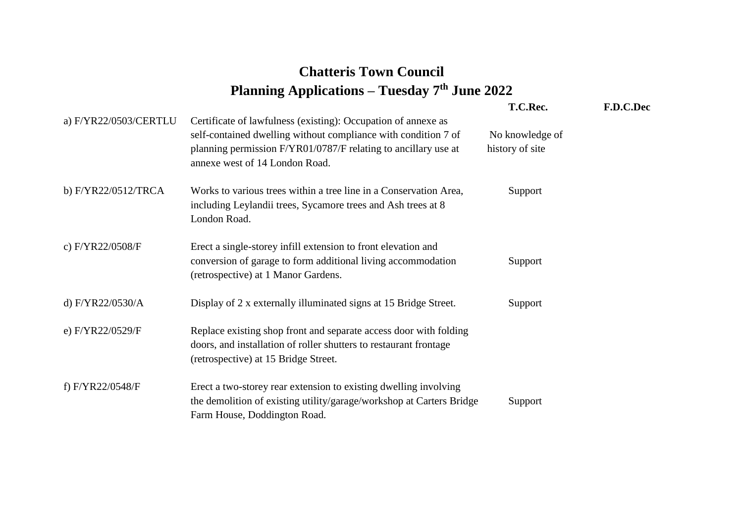## **Chatteris Town Council Planning Applications – Tuesday 7th June 2022**

|                       |                                                                                                                                                                                                                                     | T.C.Rec.                           | F.D.C.Dec |
|-----------------------|-------------------------------------------------------------------------------------------------------------------------------------------------------------------------------------------------------------------------------------|------------------------------------|-----------|
| a) F/YR22/0503/CERTLU | Certificate of lawfulness (existing): Occupation of annexe as<br>self-contained dwelling without compliance with condition 7 of<br>planning permission F/YR01/0787/F relating to ancillary use at<br>annexe west of 14 London Road. | No knowledge of<br>history of site |           |
| b) F/YR22/0512/TRCA   | Works to various trees within a tree line in a Conservation Area,<br>including Leylandii trees, Sycamore trees and Ash trees at 8<br>London Road.                                                                                   | Support                            |           |
| c) F/YR22/0508/F      | Erect a single-storey infill extension to front elevation and<br>conversion of garage to form additional living accommodation<br>(retrospective) at 1 Manor Gardens.                                                                | Support                            |           |
| d) F/YR22/0530/A      | Display of 2 x externally illuminated signs at 15 Bridge Street.                                                                                                                                                                    | Support                            |           |
| e) F/YR22/0529/F      | Replace existing shop front and separate access door with folding<br>doors, and installation of roller shutters to restaurant frontage<br>(retrospective) at 15 Bridge Street.                                                      |                                    |           |
| f) F/YR22/0548/F      | Erect a two-storey rear extension to existing dwelling involving<br>the demolition of existing utility/garage/workshop at Carters Bridge<br>Farm House, Doddington Road.                                                            | Support                            |           |